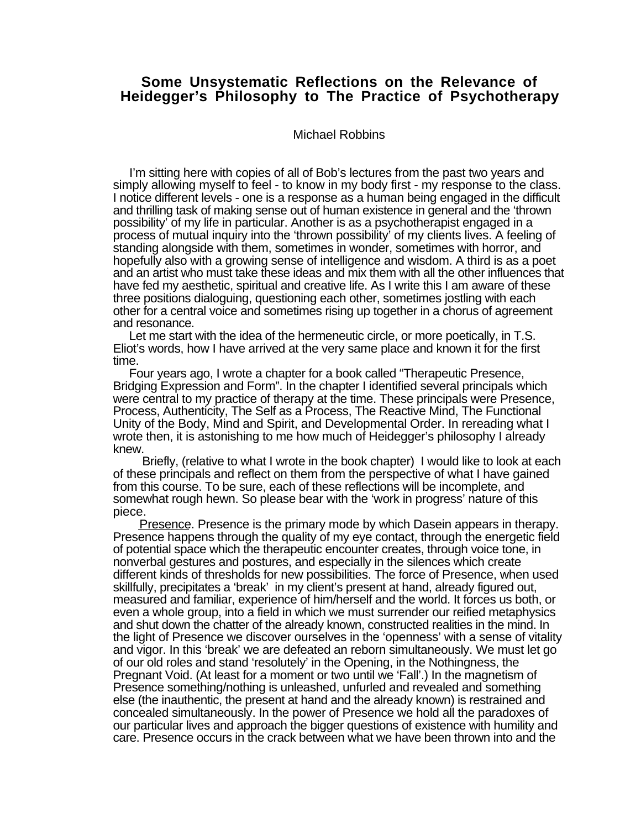## **Some Unsystematic Reflections on the Relevance of Heidegger's Philosophy to The Practice of Psychotherapy**

Michael Robbins

 I'm sitting here with copies of all of Bob's lectures from the past two years and simply allowing myself to feel - to know in my body first - my response to the class. I notice different levels - one is a response as a human being engaged in the difficult and thrilling task of making sense out of human existence in general and the 'thrown possibility' of my life in particular. Another is as a psychotherapist engaged in a process of mutual inquiry into the 'thrown possibility' of my clients lives. A feeling of standing alongside with them, sometimes in wonder, sometimes with horror, and hopefully also with a growing sense of intelligence and wisdom. A third is as a poet and an artist who must take these ideas and mix them with all the other influences that have fed my aesthetic, spiritual and creative life. As I write this I am aware of these three positions dialoguing, questioning each other, sometimes jostling with each other for a central voice and sometimes rising up together in a chorus of agreement and resonance.

 Let me start with the idea of the hermeneutic circle, or more poetically, in T.S. Eliot's words, how I have arrived at the very same place and known it for the first time.

 Four years ago, I wrote a chapter for a book called "Therapeutic Presence, Bridging Expression and Form". In the chapter I identified several principals which were central to my practice of therapy at the time. These principals were Presence, Process, Authenticity, The Self as a Process, The Reactive Mind, The Functional Unity of the Body, Mind and Spirit, and Developmental Order. In rereading what I wrote then, it is astonishing to me how much of Heidegger's philosophy I already knew.

 Briefly, (relative to what I wrote in the book chapter) I would like to look at each of these principals and reflect on them from the perspective of what I have gained from this course. To be sure, each of these reflections will be incomplete, and somewhat rough hewn. So please bear with the 'work in progress' nature of this piece.

 Presence. Presence is the primary mode by which Dasein appears in therapy. Presence happens through the quality of my eye contact, through the energetic field of potential space which the therapeutic encounter creates, through voice tone, in nonverbal gestures and postures, and especially in the silences which create different kinds of thresholds for new possibilities. The force of Presence, when used skillfully, precipitates a 'break' in my client's present at hand, already figured out, measured and familiar, experience of him/herself and the world. It forces us both, or even a whole group, into a field in which we must surrender our reified metaphysics and shut down the chatter of the already known, constructed realities in the mind. In the light of Presence we discover ourselves in the 'openness' with a sense of vitality and vigor. In this 'break' we are defeated an reborn simultaneously. We must let go of our old roles and stand 'resolutely' in the Opening, in the Nothingness, the Pregnant Void. (At least for a moment or two until we 'Fall'.) In the magnetism of Presence something/nothing is unleashed, unfurled and revealed and something else (the inauthentic, the present at hand and the already known) is restrained and concealed simultaneously. In the power of Presence we hold all the paradoxes of our particular lives and approach the bigger questions of existence with humility and care. Presence occurs in the crack between what we have been thrown into and the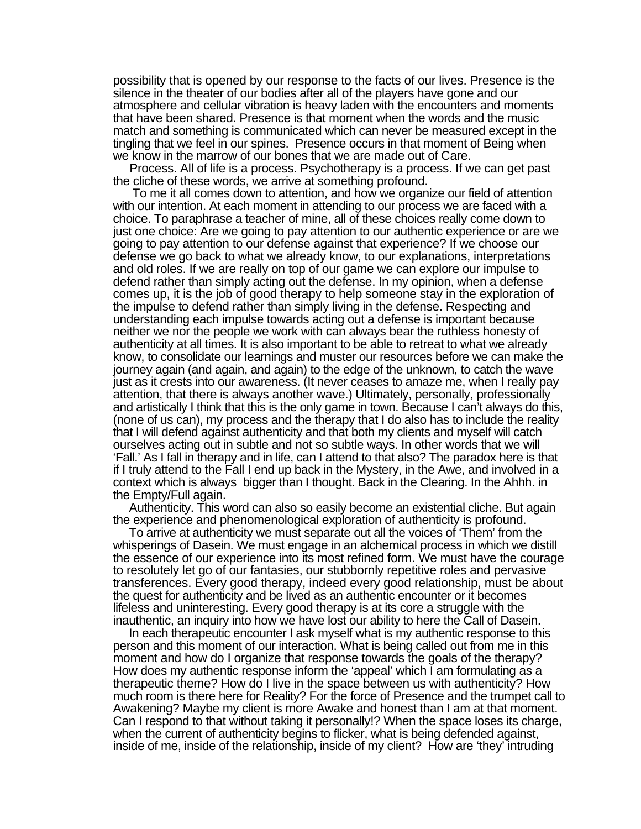possibility that is opened by our response to the facts of our lives. Presence is the silence in the theater of our bodies after all of the players have gone and our atmosphere and cellular vibration is heavy laden with the encounters and moments that have been shared. Presence is that moment when the words and the music match and something is communicated which can never be measured except in the tingling that we feel in our spines. Presence occurs in that moment of Being when we know in the marrow of our bones that we are made out of Care.

 Process. All of life is a process. Psychotherapy is a process. If we can get past the cliche of these words, we arrive at something profound.

 To me it all comes down to attention, and how we organize our field of attention with our intention. At each moment in attending to our process we are faced with a choice. To paraphrase a teacher of mine, all of these choices really come down to just one choice: Are we going to pay attention to our authentic experience or are we going to pay attention to our defense against that experience? If we choose our defense we go back to what we already know, to our explanations, interpretations and old roles. If we are really on top of our game we can explore our impulse to defend rather than simply acting out the defense. In my opinion, when a defense comes up, it is the job of good therapy to help someone stay in the exploration of the impulse to defend rather than simply living in the defense. Respecting and understanding each impulse towards acting out a defense is important because neither we nor the people we work with can always bear the ruthless honesty of authenticity at all times. It is also important to be able to retreat to what we already know, to consolidate our learnings and muster our resources before we can make the journey again (and again, and again) to the edge of the unknown, to catch the wave just as it crests into our awareness. (It never ceases to amaze me, when I really pay attention, that there is always another wave.) Ultimately, personally, professionally and artistically I think that this is the only game in town. Because I can't always do this, (none of us can), my process and the therapy that I do also has to include the reality that I will defend against authenticity and that both my clients and myself will catch ourselves acting out in subtle and not so subtle ways. In other words that we will 'Fall.' As I fall in therapy and in life, can I attend to that also? The paradox here is that if I truly attend to the Fall I end up back in the Mystery, in the Awe, and involved in a context which is always bigger than I thought. Back in the Clearing. In the Ahhh. in the Empty/Full again.

 Authenticity. This word can also so easily become an existential cliche. But again the experience and phenomenological exploration of authenticity is profound.

 To arrive at authenticity we must separate out all the voices of 'Them' from the whisperings of Dasein. We must engage in an alchemical process in which we distill the essence of our experience into its most refined form. We must have the courage to resolutely let go of our fantasies, our stubbornly repetitive roles and pervasive transferences. Every good therapy, indeed every good relationship, must be about the quest for authenticity and be lived as an authentic encounter or it becomes lifeless and uninteresting. Every good therapy is at its core a struggle with the inauthentic, an inquiry into how we have lost our ability to here the Call of Dasein.

 In each therapeutic encounter I ask myself what is my authentic response to this person and this moment of our interaction. What is being called out from me in this moment and how do I organize that response towards the goals of the therapy? How does my authentic response inform the 'appeal' which I am formulating as a therapeutic theme? How do I live in the space between us with authenticity? How much room is there here for Reality? For the force of Presence and the trumpet call to Awakening? Maybe my client is more Awake and honest than I am at that moment. Can I respond to that without taking it personally!? When the space loses its charge, when the current of authenticity begins to flicker, what is being defended against, inside of me, inside of the relationship, inside of my client? How are 'they' intruding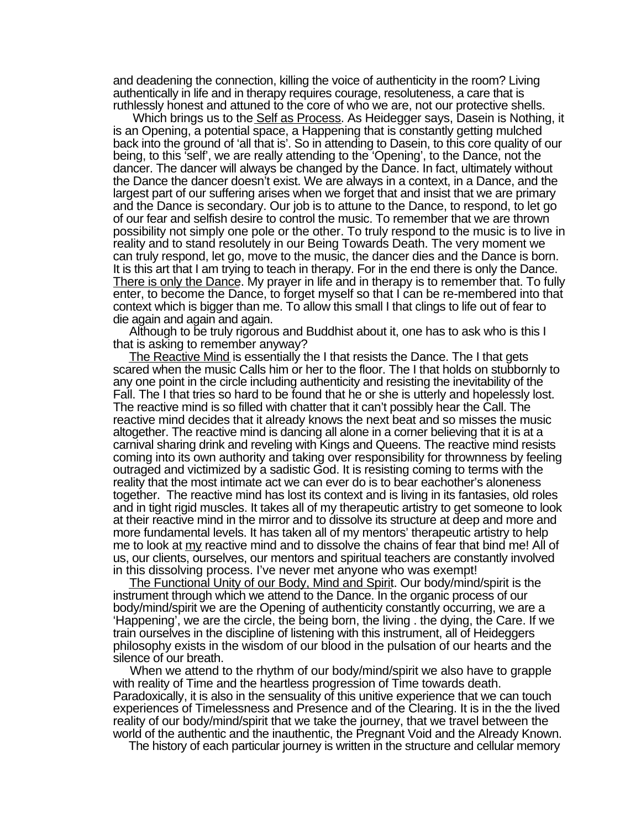and deadening the connection, killing the voice of authenticity in the room? Living authentically in life and in therapy requires courage, resoluteness, a care that is ruthlessly honest and attuned to the core of who we are, not our protective shells.

Which brings us to the Self as Process. As Heidegger says, Dasein is Nothing, it is an Opening, a potential space, a Happening that is constantly getting mulched back into the ground of 'all that is'. So in attending to Dasein, to this core quality of our being, to this 'self', we are really attending to the 'Opening', to the Dance, not the dancer. The dancer will always be changed by the Dance. In fact, ultimately without the Dance the dancer doesn't exist. We are always in a context, in a Dance, and the largest part of our suffering arises when we forget that and insist that we are primary and the Dance is secondary. Our job is to attune to the Dance, to respond, to let go of our fear and selfish desire to control the music. To remember that we are thrown possibility not simply one pole or the other. To truly respond to the music is to live in reality and to stand resolutely in our Being Towards Death. The very moment we can truly respond, let go, move to the music, the dancer dies and the Dance is born. It is this art that I am trying to teach in therapy. For in the end there is only the Dance. There is only the Dance. My prayer in life and in therapy is to remember that. To fully enter, to become the Dance, to forget myself so that I can be re-membered into that context which is bigger than me. To allow this small I that clings to life out of fear to die again and again and again.

 Although to be truly rigorous and Buddhist about it, one has to ask who is this I that is asking to remember anyway?

 The Reactive Mind is essentially the I that resists the Dance. The I that gets scared when the music Calls him or her to the floor. The I that holds on stubbornly to any one point in the circle including authenticity and resisting the inevitability of the Fall. The I that tries so hard to be found that he or she is utterly and hopelessly lost. The reactive mind is so filled with chatter that it can't possibly hear the Call. The reactive mind decides that it already knows the next beat and so misses the music altogether. The reactive mind is dancing all alone in a corner believing that it is at a carnival sharing drink and reveling with Kings and Queens. The reactive mind resists coming into its own authority and taking over responsibility for thrownness by feeling outraged and victimized by a sadistic God. It is resisting coming to terms with the reality that the most intimate act we can ever do is to bear eachother's aloneness together. The reactive mind has lost its context and is living in its fantasies, old roles and in tight rigid muscles. It takes all of my therapeutic artistry to get someone to look at their reactive mind in the mirror and to dissolve its structure at deep and more and more fundamental levels. It has taken all of my mentors' therapeutic artistry to help me to look at my reactive mind and to dissolve the chains of fear that bind me! All of us, our clients, ourselves, our mentors and spiritual teachers are constantly involved in this dissolving process. I've never met anyone who was exempt!

 The Functional Unity of our Body, Mind and Spirit. Our body/mind/spirit is the instrument through which we attend to the Dance. In the organic process of our body/mind/spirit we are the Opening of authenticity constantly occurring, we are a 'Happening', we are the circle, the being born, the living . the dying, the Care. If we train ourselves in the discipline of listening with this instrument, all of Heideggers philosophy exists in the wisdom of our blood in the pulsation of our hearts and the silence of our breath.

 When we attend to the rhythm of our body/mind/spirit we also have to grapple with reality of Time and the heartless progression of Time towards death. Paradoxically, it is also in the sensuality of this unitive experience that we can touch experiences of Timelessness and Presence and of the Clearing. It is in the the lived reality of our body/mind/spirit that we take the journey, that we travel between the world of the authentic and the inauthentic, the Pregnant Void and the Already Known.

The history of each particular journey is written in the structure and cellular memory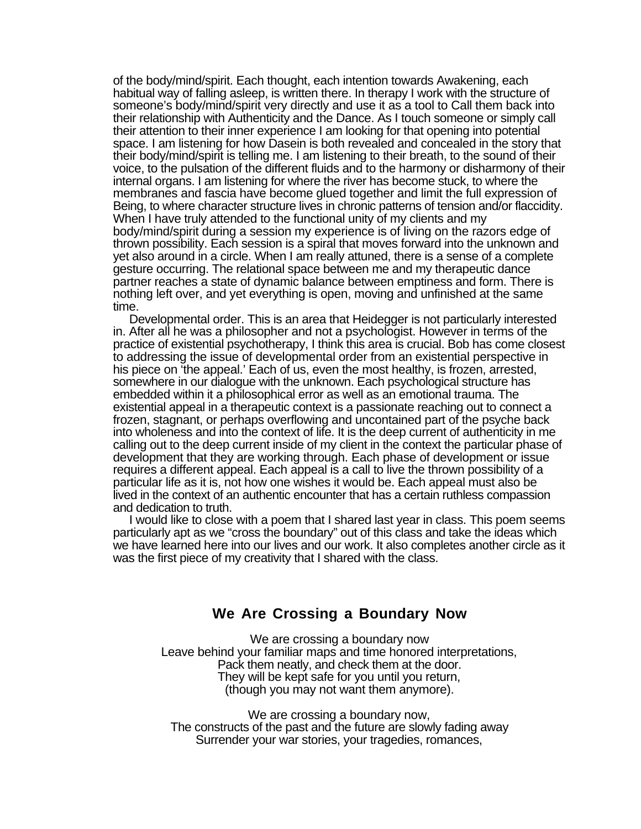of the body/mind/spirit. Each thought, each intention towards Awakening, each habitual way of falling asleep, is written there. In therapy I work with the structure of someone's body/mind/spirit very directly and use it as a tool to Call them back into their relationship with Authenticity and the Dance. As I touch someone or simply call their attention to their inner experience I am looking for that opening into potential space. I am listening for how Dasein is both revealed and concealed in the story that their body/mind/spirit is telling me. I am listening to their breath, to the sound of their voice, to the pulsation of the different fluids and to the harmony or disharmony of their internal organs. I am listening for where the river has become stuck, to where the membranes and fascia have become glued together and limit the full expression of Being, to where character structure lives in chronic patterns of tension and/or flaccidity. When I have truly attended to the functional unity of my clients and my body/mind/spirit during a session my experience is of living on the razors edge of thrown possibility. Each session is a spiral that moves forward into the unknown and yet also around in a circle. When I am really attuned, there is a sense of a complete gesture occurring. The relational space between me and my therapeutic dance partner reaches a state of dynamic balance between emptiness and form. There is nothing left over, and yet everything is open, moving and unfinished at the same time.

 Developmental order. This is an area that Heidegger is not particularly interested in. After all he was a philosopher and not a psychologist. However in terms of the practice of existential psychotherapy, I think this area is crucial. Bob has come closest to addressing the issue of developmental order from an existential perspective in his piece on 'the appeal.' Each of us, even the most healthy, is frozen, arrested, somewhere in our dialogue with the unknown. Each psychological structure has embedded within it a philosophical error as well as an emotional trauma. The existential appeal in a therapeutic context is a passionate reaching out to connect a frozen, stagnant, or perhaps overflowing and uncontained part of the psyche back into wholeness and into the context of life. It is the deep current of authenticity in me calling out to the deep current inside of my client in the context the particular phase of development that they are working through. Each phase of development or issue requires a different appeal. Each appeal is a call to live the thrown possibility of a particular life as it is, not how one wishes it would be. Each appeal must also be lived in the context of an authentic encounter that has a certain ruthless compassion and dedication to truth.

 I would like to close with a poem that I shared last year in class. This poem seems particularly apt as we "cross the boundary" out of this class and take the ideas which we have learned here into our lives and our work. It also completes another circle as it was the first piece of my creativity that I shared with the class.

## **We Are Crossing a Boundary Now**

We are crossing a boundary now Leave behind your familiar maps and time honored interpretations, Pack them neatly, and check them at the door. They will be kept safe for you until you return, (though you may not want them anymore).

We are crossing a boundary now. The constructs of the past and the future are slowly fading away Surrender your war stories, your tragedies, romances,